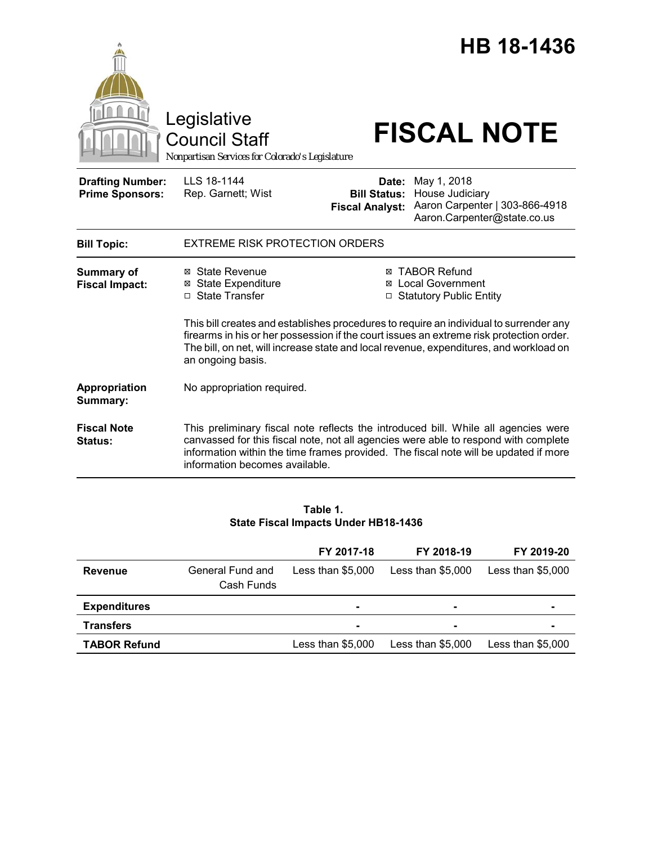|                                                   |                                                                                                                                                                                                                                                                                                  |                                                        | HB 18-1436                                                                                                                                                                                                                                                        |  |  |
|---------------------------------------------------|--------------------------------------------------------------------------------------------------------------------------------------------------------------------------------------------------------------------------------------------------------------------------------------------------|--------------------------------------------------------|-------------------------------------------------------------------------------------------------------------------------------------------------------------------------------------------------------------------------------------------------------------------|--|--|
|                                                   | Legislative<br><b>Council Staff</b><br>Nonpartisan Services for Colorado's Legislature                                                                                                                                                                                                           |                                                        | <b>FISCAL NOTE</b>                                                                                                                                                                                                                                                |  |  |
| <b>Drafting Number:</b><br><b>Prime Sponsors:</b> | LLS 18-1144<br>Rep. Garnett; Wist                                                                                                                                                                                                                                                                | Date:<br><b>Bill Status:</b><br><b>Fiscal Analyst:</b> | May 1, 2018<br>House Judiciary<br>Aaron Carpenter   303-866-4918<br>Aaron.Carpenter@state.co.us                                                                                                                                                                   |  |  |
| <b>Bill Topic:</b>                                | <b>EXTREME RISK PROTECTION ORDERS</b>                                                                                                                                                                                                                                                            |                                                        |                                                                                                                                                                                                                                                                   |  |  |
| <b>Summary of</b><br><b>Fiscal Impact:</b>        | ⊠ State Revenue<br><b>⊠ State Expenditure</b><br>□ State Transfer                                                                                                                                                                                                                                |                                                        | <b>⊠ TABOR Refund</b><br>⊠ Local Government<br>□ Statutory Public Entity                                                                                                                                                                                          |  |  |
|                                                   | This bill creates and establishes procedures to require an individual to surrender any<br>firearms in his or her possession if the court issues an extreme risk protection order.<br>The bill, on net, will increase state and local revenue, expenditures, and workload on<br>an ongoing basis. |                                                        |                                                                                                                                                                                                                                                                   |  |  |
| Appropriation<br>Summary:                         | No appropriation required.                                                                                                                                                                                                                                                                       |                                                        |                                                                                                                                                                                                                                                                   |  |  |
| <b>Fiscal Note</b><br><b>Status:</b>              | information becomes available.                                                                                                                                                                                                                                                                   |                                                        | This preliminary fiscal note reflects the introduced bill. While all agencies were<br>canvassed for this fiscal note, not all agencies were able to respond with complete<br>information within the time frames provided. The fiscal note will be updated if more |  |  |

## **Table 1. State Fiscal Impacts Under HB18-1436**

|                     |                                | FY 2017-18         | FY 2018-19         | FY 2019-20         |
|---------------------|--------------------------------|--------------------|--------------------|--------------------|
| <b>Revenue</b>      | General Fund and<br>Cash Funds | Less than $$5.000$ | Less than $$5.000$ | Less than $$5,000$ |
| <b>Expenditures</b> |                                |                    |                    | $\blacksquare$     |
| <b>Transfers</b>    |                                |                    |                    | $\blacksquare$     |
| <b>TABOR Refund</b> |                                | Less than $$5,000$ | Less than $$5,000$ | Less than $$5,000$ |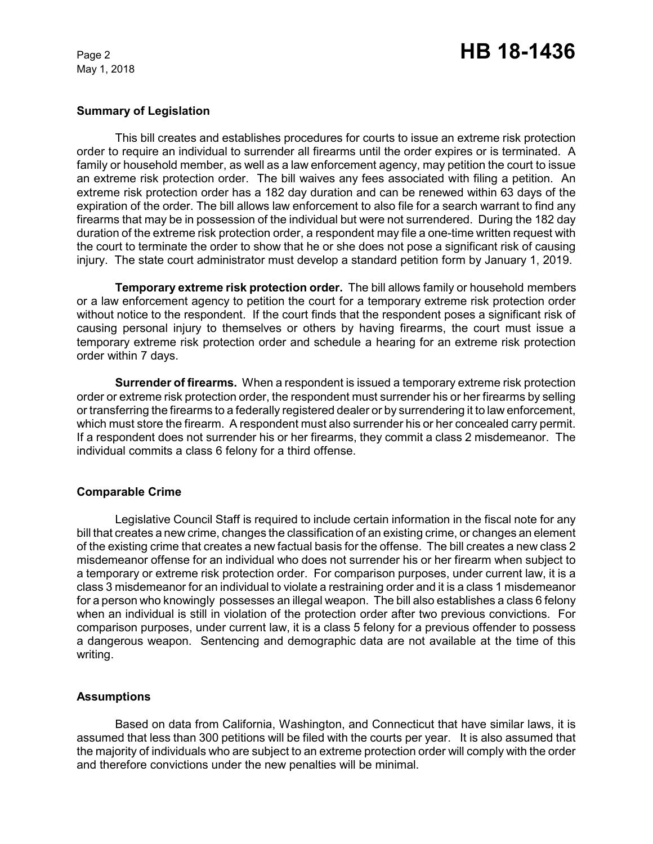# Page 2 **HB 18-1436**

#### **Summary of Legislation**

This bill creates and establishes procedures for courts to issue an extreme risk protection order to require an individual to surrender all firearms until the order expires or is terminated. A family or household member, as well as a law enforcement agency, may petition the court to issue an extreme risk protection order. The bill waives any fees associated with filing a petition. An extreme risk protection order has a 182 day duration and can be renewed within 63 days of the expiration of the order. The bill allows law enforcement to also file for a search warrant to find any firearms that may be in possession of the individual but were not surrendered. During the 182 day duration of the extreme risk protection order, a respondent may file a one-time written request with the court to terminate the order to show that he or she does not pose a significant risk of causing injury. The state court administrator must develop a standard petition form by January 1, 2019.

**Temporary extreme risk protection order.** The bill allows family or household members or a law enforcement agency to petition the court for a temporary extreme risk protection order without notice to the respondent. If the court finds that the respondent poses a significant risk of causing personal injury to themselves or others by having firearms, the court must issue a temporary extreme risk protection order and schedule a hearing for an extreme risk protection order within 7 days.

**Surrender of firearms.** When a respondent is issued a temporary extreme risk protection order or extreme risk protection order, the respondent must surrender his or her firearms by selling or transferring the firearms to a federally registered dealer or by surrendering it to law enforcement, which must store the firearm. A respondent must also surrender his or her concealed carry permit. If a respondent does not surrender his or her firearms, they commit a class 2 misdemeanor. The individual commits a class 6 felony for a third offense.

# **Comparable Crime**

Legislative Council Staff is required to include certain information in the fiscal note for any bill that creates a new crime, changes the classification of an existing crime, or changes an element of the existing crime that creates a new factual basis for the offense. The bill creates a new class 2 misdemeanor offense for an individual who does not surrender his or her firearm when subject to a temporary or extreme risk protection order. For comparison purposes, under current law, it is a class 3 misdemeanor for an individual to violate a restraining order and it is a class 1 misdemeanor for a person who knowingly possesses an illegal weapon. The bill also establishes a class 6 felony when an individual is still in violation of the protection order after two previous convictions. For comparison purposes, under current law, it is a class 5 felony for a previous offender to possess a dangerous weapon. Sentencing and demographic data are not available at the time of this writing.

# **Assumptions**

Based on data from California, Washington, and Connecticut that have similar laws, it is assumed that less than 300 petitions will be filed with the courts per year. It is also assumed that the majority of individuals who are subject to an extreme protection order will comply with the order and therefore convictions under the new penalties will be minimal.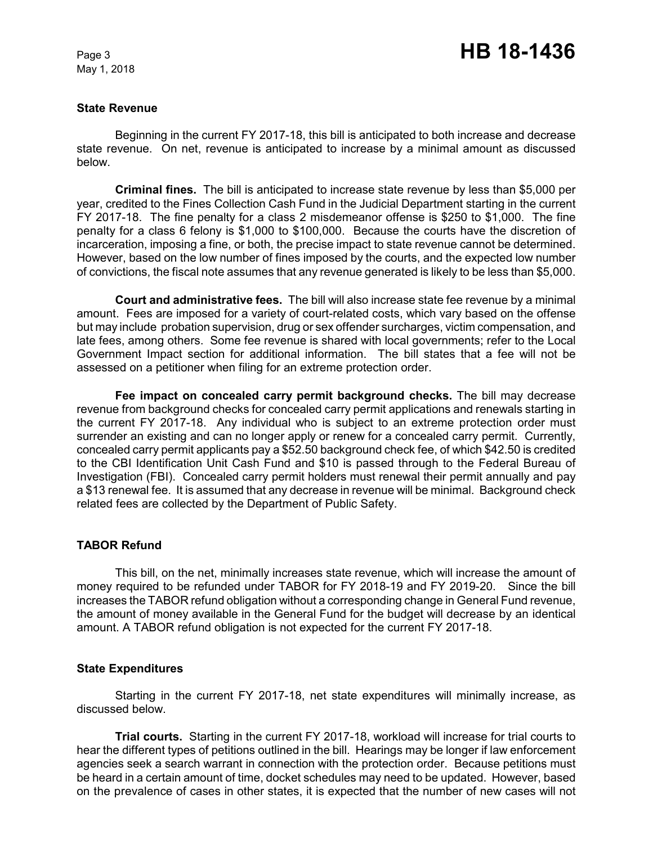#### **State Revenue**

Beginning in the current FY 2017-18, this bill is anticipated to both increase and decrease state revenue. On net, revenue is anticipated to increase by a minimal amount as discussed below.

**Criminal fines.** The bill is anticipated to increase state revenue by less than \$5,000 per year, credited to the Fines Collection Cash Fund in the Judicial Department starting in the current FY 2017-18. The fine penalty for a class 2 misdemeanor offense is \$250 to \$1,000. The fine penalty for a class 6 felony is \$1,000 to \$100,000. Because the courts have the discretion of incarceration, imposing a fine, or both, the precise impact to state revenue cannot be determined. However, based on the low number of fines imposed by the courts, and the expected low number of convictions, the fiscal note assumes that any revenue generated is likely to be less than \$5,000.

**Court and administrative fees.** The bill will also increase state fee revenue by a minimal amount. Fees are imposed for a variety of court-related costs, which vary based on the offense but may include probation supervision, drug or sex offender surcharges, victim compensation, and late fees, among others. Some fee revenue is shared with local governments; refer to the Local Government Impact section for additional information. The bill states that a fee will not be assessed on a petitioner when filing for an extreme protection order.

**Fee impact on concealed carry permit background checks.** The bill may decrease revenue from background checks for concealed carry permit applications and renewals starting in the current FY 2017-18. Any individual who is subject to an extreme protection order must surrender an existing and can no longer apply or renew for a concealed carry permit. Currently, concealed carry permit applicants pay a \$52.50 background check fee, of which \$42.50 is credited to the CBI Identification Unit Cash Fund and \$10 is passed through to the Federal Bureau of Investigation (FBI). Concealed carry permit holders must renewal their permit annually and pay a \$13 renewal fee. It is assumed that any decrease in revenue will be minimal. Background check related fees are collected by the Department of Public Safety.

#### **TABOR Refund**

This bill, on the net, minimally increases state revenue, which will increase the amount of money required to be refunded under TABOR for FY 2018-19 and FY 2019-20. Since the bill increases the TABOR refund obligation without a corresponding change in General Fund revenue, the amount of money available in the General Fund for the budget will decrease by an identical amount. A TABOR refund obligation is not expected for the current FY 2017-18.

#### **State Expenditures**

Starting in the current FY 2017-18, net state expenditures will minimally increase, as discussed below.

**Trial courts.** Starting in the current FY 2017-18, workload will increase for trial courts to hear the different types of petitions outlined in the bill. Hearings may be longer if law enforcement agencies seek a search warrant in connection with the protection order. Because petitions must be heard in a certain amount of time, docket schedules may need to be updated. However, based on the prevalence of cases in other states, it is expected that the number of new cases will not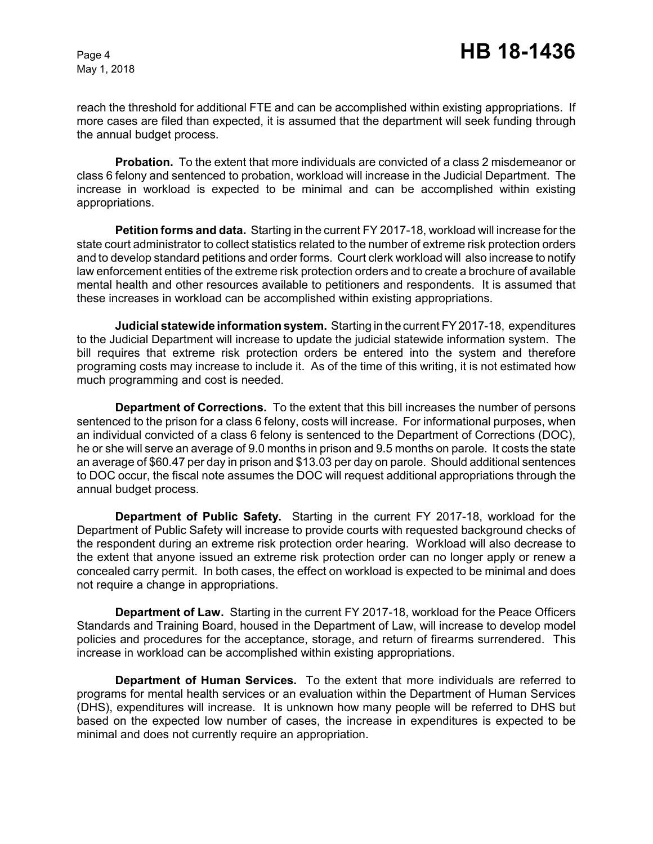reach the threshold for additional FTE and can be accomplished within existing appropriations. If more cases are filed than expected, it is assumed that the department will seek funding through the annual budget process.

**Probation.** To the extent that more individuals are convicted of a class 2 misdemeanor or class 6 felony and sentenced to probation, workload will increase in the Judicial Department. The increase in workload is expected to be minimal and can be accomplished within existing appropriations.

**Petition forms and data.** Starting in the current FY 2017-18, workload will increase for the state court administrator to collect statistics related to the number of extreme risk protection orders and to develop standard petitions and order forms. Court clerk workload will also increase to notify law enforcement entities of the extreme risk protection orders and to create a brochure of available mental health and other resources available to petitioners and respondents. It is assumed that these increases in workload can be accomplished within existing appropriations.

**Judicial statewide information system.** Starting in the current FY 2017-18, expenditures to the Judicial Department will increase to update the judicial statewide information system. The bill requires that extreme risk protection orders be entered into the system and therefore programing costs may increase to include it. As of the time of this writing, it is not estimated how much programming and cost is needed.

**Department of Corrections.** To the extent that this bill increases the number of persons sentenced to the prison for a class 6 felony, costs will increase. For informational purposes, when an individual convicted of a class 6 felony is sentenced to the Department of Corrections (DOC), he or she will serve an average of 9.0 months in prison and 9.5 months on parole. It costs the state an average of \$60.47 per day in prison and \$13.03 per day on parole. Should additional sentences to DOC occur, the fiscal note assumes the DOC will request additional appropriations through the annual budget process.

**Department of Public Safety.** Starting in the current FY 2017-18, workload for the Department of Public Safety will increase to provide courts with requested background checks of the respondent during an extreme risk protection order hearing. Workload will also decrease to the extent that anyone issued an extreme risk protection order can no longer apply or renew a concealed carry permit. In both cases, the effect on workload is expected to be minimal and does not require a change in appropriations.

**Department of Law.** Starting in the current FY 2017-18, workload for the Peace Officers Standards and Training Board, housed in the Department of Law, will increase to develop model policies and procedures for the acceptance, storage, and return of firearms surrendered. This increase in workload can be accomplished within existing appropriations.

**Department of Human Services.** To the extent that more individuals are referred to programs for mental health services or an evaluation within the Department of Human Services (DHS), expenditures will increase. It is unknown how many people will be referred to DHS but based on the expected low number of cases, the increase in expenditures is expected to be minimal and does not currently require an appropriation.